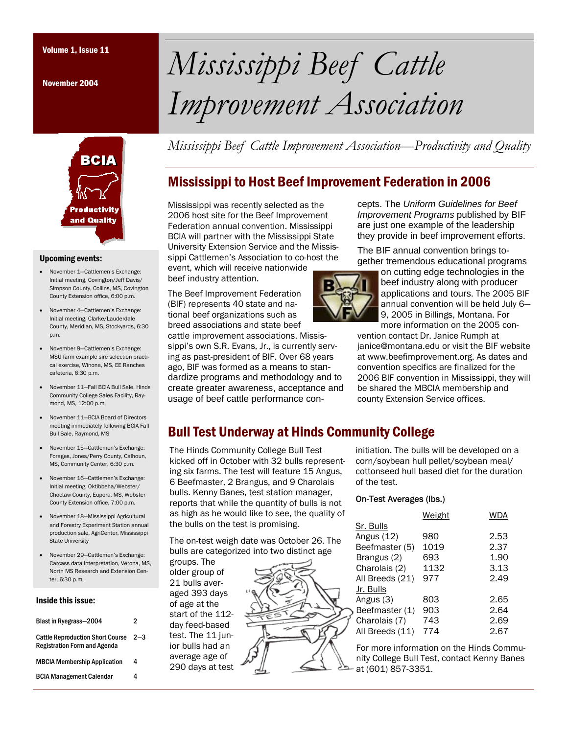November 2004



#### Upcoming events:

- November 1—Cattlemen's Exchange: Initial meeting, Covington/Jeff Davis/ Simpson County, Collins, MS, Covington County Extension office, 6:00 p.m.
- November 4—Cattlemen's Exchange: Initial meeting, Clarke/Lauderdale County, Meridian, MS, Stockyards, 6:30 p.m.
- November 9—Cattlemen's Exchange: MSU farm example sire selection practical exercise, Winona, MS, EE Ranches cafeteria, 6:30 p.m.
- November 11—Fall BCIA Bull Sale, Hinds Community College Sales Facility, Raymond, MS, 12:00 p.m.
- November 11—BCIA Board of Directors meeting immediately following BCIA Fall Bull Sale, Raymond, MS
- November 15—Cattlemen's Exchange: Forages, Jones/Perry County, Calhoun, MS, Community Center, 6:30 p.m.
- November 16—Cattlemen's Exchange: Initial meeting, Oktibbeha/Webster/ Choctaw County, Eupora, MS, Webster County Extension office, 7:00 p.m.
- November 18—Mississippi Agricultural and Forestry Experiment Station annual production sale, AgriCenter, Mississippi State University
- November 29—Cattlemen's Exchange: Carcass data interpretation, Verona, MS, North MS Research and Extension Center, 6:30 p.m.

#### Inside this issue:

| Blast in Ryegrass-2004                                                         | 2       |
|--------------------------------------------------------------------------------|---------|
| <b>Cattle Reproduction Short Course</b><br><b>Registration Form and Agenda</b> | $2 - 3$ |
| <b>MBCIA Membership Application</b>                                            | 4       |
| <b>BCIA Management Calendar</b>                                                | 4       |

# Volume 1, Issue 11 *Mississippi Beef Cattle Improvement Association*

*Mississippi Beef Cattle Improvement Association—Productivity and Quality* 

# Mississippi to Host Beef Improvement Federation in 2006

Mississippi was recently selected as the 2006 host site for the Beef Improvement Federation annual convention. Mississippi BCIA will partner with the Mississippi State University Extension Service and the Mississippi Cattlemen's Association to co-host the event, which will receive nationwide beef industry attention.

The Beef Improvement Federation (BIF) represents 40 state and national beef organizations such as breed associations and state beef

cattle improvement associations. Mississippi's own S.R. Evans, Jr., is currently serving as past-president of BIF. Over 68 years ago, BIF was formed as a means to standardize programs and methodology and to create greater awareness, acceptance and usage of beef cattle performance con-



cepts. The *Uniform Guidelines for Beef Improvement Programs* published by BIF are just one example of the leadership they provide in beef improvement efforts.

The BIF annual convention brings together tremendous educational programs

> on cutting edge technologies in the beef industry along with producer applications and tours. The 2005 BIF annual convention will be held July 6— 9, 2005 in Billings, Montana. For more information on the 2005 con-

vention contact Dr. Janice Rumph at janice@montana.edu or visit the BIF website at www.beefimprovement.org. As dates and convention specifics are finalized for the 2006 BIF convention in Mississippi, they will be shared the MBCIA membership and county Extension Service offices.

## Bull Test Underway at Hinds Community College

The Hinds Community College Bull Test kicked off in October with 32 bulls representing six farms. The test will feature 15 Angus, 6 Beefmaster, 2 Brangus, and 9 Charolais bulls. Kenny Banes, test station manager, reports that while the quantity of bulls is not as high as he would like to see, the quality of the bulls on the test is promising.

The on-test weigh date was October 26. The bulls are categorized into two distinct age

groups. The older group of 21 bulls averaged 393 days of age at the start of the 112 day feed-based test. The 11 junior bulls had an average age of 290 days at test initiation. The bulls will be developed on a corn/soybean hull pellet/soybean meal/ cottonseed hull based diet for the duration of the test.

#### On-Test Averages (lbs.)

|                 | Weight | <b>WDA</b> |
|-----------------|--------|------------|
| Sr. Bulls       |        |            |
| Angus (12)      | 980    | 2.53       |
| Beefmaster (5)  | 1019   | 2.37       |
| Brangus (2)     | 693    | 1.90       |
| Charolais (2)   | 1132   | 3.13       |
| All Breeds (21) | 977    | 2.49       |
| Jr. Bulls       |        |            |
| Angus (3)       | 803    | 2.65       |
| Beefmaster (1)  | 903    | 2.64       |
| Charolais (7)   | 743    | 2.69       |
| All Breeds (11) | 774    | 2.67       |
|                 |        |            |

For more information on the Hinds Community College Bull Test, contact Kenny Banes at (601) 857-3351.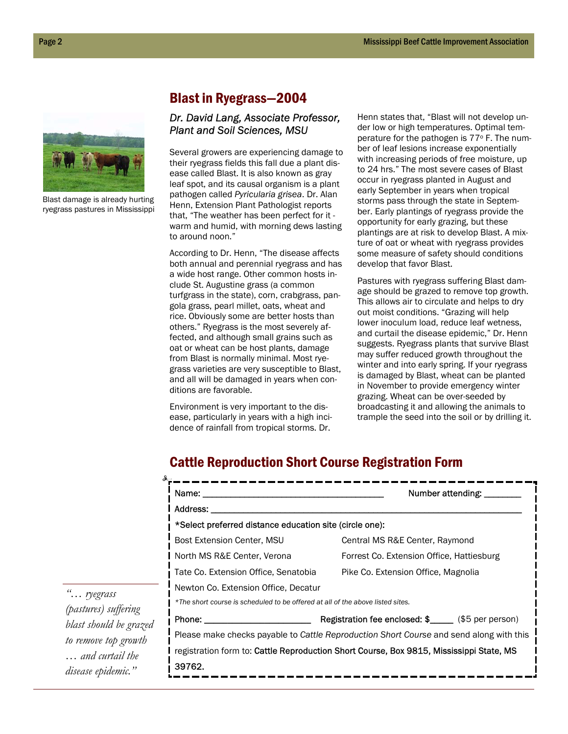

Blast damage is already hurting ryegrass pastures in Mississippi

## Blast in Ryegrass—2004

## *Dr. David Lang, Associate Professor, Plant and Soil Sciences, MSU*

Several growers are experiencing damage to their ryegrass fields this fall due a plant disease called Blast. It is also known as gray leaf spot, and its causal organism is a plant pathogen called *Pyricularia grisea*. Dr. Alan Henn, Extension Plant Pathologist reports that, "The weather has been perfect for it warm and humid, with morning dews lasting to around noon."

According to Dr. Henn, "The disease affects both annual and perennial ryegrass and has a wide host range. Other common hosts include St. Augustine grass (a common turfgrass in the state), corn, crabgrass, pangola grass, pearl millet, oats, wheat and rice. Obviously some are better hosts than others." Ryegrass is the most severely affected, and although small grains such as oat or wheat can be host plants, damage from Blast is normally minimal. Most ryegrass varieties are very susceptible to Blast, and all will be damaged in years when conditions are favorable.

Environment is very important to the disease, particularly in years with a high incidence of rainfall from tropical storms. Dr.

Henn states that, "Blast will not develop under low or high temperatures. Optimal temperature for the pathogen is 77° F. The number of leaf lesions increase exponentially with increasing periods of free moisture, up to 24 hrs." The most severe cases of Blast occur in ryegrass planted in August and early September in years when tropical storms pass through the state in September. Early plantings of ryegrass provide the opportunity for early grazing, but these plantings are at risk to develop Blast. A mixture of oat or wheat with ryegrass provides some measure of safety should conditions develop that favor Blast.

Pastures with ryegrass suffering Blast damage should be grazed to remove top growth. This allows air to circulate and helps to dry out moist conditions. "Grazing will help lower inoculum load, reduce leaf wetness, and curtail the disease epidemic," Dr. Henn suggests. Ryegrass plants that survive Blast may suffer reduced growth throughout the winter and into early spring. If your ryegrass is damaged by Blast, wheat can be planted in November to provide emergency winter grazing. Wheat can be over-seeded by broadcasting it and allowing the animals to trample the seed into the soil or by drilling it.

# Cattle Reproduction Short Course Registration Form

| Name: www.<br>l Address:                                                       | Number attending. ________                                                              |
|--------------------------------------------------------------------------------|-----------------------------------------------------------------------------------------|
| *Select preferred distance education site (circle one):                        |                                                                                         |
| Bost Extension Center, MSU                                                     | Central MS R&E Center, Raymond                                                          |
| l North MS R&E Center, Verona                                                  | Forrest Co. Extension Office, Hattiesburg                                               |
| Tate Co. Extension Office. Senatobia Colliche Co. Extension Office. Magnolia   |                                                                                         |
| Newton Co. Extension Office, Decatur                                           |                                                                                         |
| *The short course is scheduled to be offered at all of the above listed sites. |                                                                                         |
|                                                                                |                                                                                         |
|                                                                                | Please make checks payable to Cattle Reproduction Short Course and send along with this |
|                                                                                | registration form to: Cattle Reproduction Short Course, Box 9815, Mississippi State, MS |
| 39762.                                                                         |                                                                                         |

*"… ryegrass (pastures) suffering blast should be grazed to remove top growth … and curtail the disease epidemic."*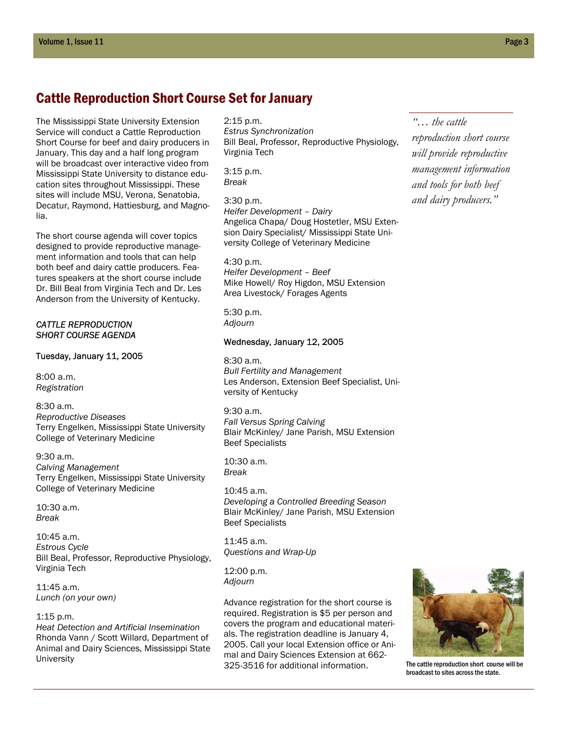## Cattle Reproduction Short Course Set for January

The Mississippi State University Extension Service will conduct a Cattle Reproduction Short Course for beef and dairy producers in January. This day and a half long program will be broadcast over interactive video from Mississippi State University to distance education sites throughout Mississippi. These sites will include MSU, Verona, Senatobia, Decatur, Raymond, Hattiesburg, and Magnolia.

The short course agenda will cover topics designed to provide reproductive management information and tools that can help both beef and dairy cattle producers. Features speakers at the short course include Dr. Bill Beal from Virginia Tech and Dr. Les Anderson from the University of Kentucky.

#### *CATTLE REPRODUCTION SHORT COURSE AGENDA*

#### Tuesday, January 11, 2005

8:00 a.m. *Registration* 

8:30 a.m. *Reproductive Diseases*  Terry Engelken, Mississippi State University College of Veterinary Medicine

9:30 a.m. *Calving Management*  Terry Engelken, Mississippi State University College of Veterinary Medicine

 $10:30 a m$ *Break* 

10:45 a.m. *Estrous Cycle*  Bill Beal, Professor, Reproductive Physiology, Virginia Tech

11:45 a.m. *Lunch (on your own)* 

#### 1:15 p.m.

*Heat Detection and Artificial Insemination*  Rhonda Vann / Scott Willard, Department of Animal and Dairy Sciences, Mississippi State University

#### 2:15 p.m.

*Estrus Synchronization*  Bill Beal, Professor, Reproductive Physiology, Virginia Tech

3:15 p.m. *Break* 

3:30 p.m. *Heifer Development – Dairy*  Angelica Chapa/ Doug Hostetler, MSU Extension Dairy Specialist/ Mississippi State University College of Veterinary Medicine

4:30 p.m. *Heifer Development – Beef*  Mike Howell/ Roy Higdon, MSU Extension Area Livestock/ Forages Agents

5:30 p.m. *Adjourn* 

#### Wednesday, January 12, 2005

8:30 a.m. *Bull Fertility and Management*  Les Anderson, Extension Beef Specialist, University of Kentucky

9:30 a.m. *Fall Versus Spring Calving*  Blair McKinley/ Jane Parish, MSU Extension Beef Specialists

10:30 a.m. *Break* 

10:45 a.m. *Developing a Controlled Breeding Season*  Blair McKinley/ Jane Parish, MSU Extension Beef Specialists

11:45 a.m. *Questions and Wrap-Up* 

12:00 p.m. *Adjourn* 

Advance registration for the short course is required. Registration is \$5 per person and covers the program and educational materials. The registration deadline is January 4, 2005. Call your local Extension office or Animal and Dairy Sciences Extension at 662- 325-3516 for additional information.





The cattle reproduction short course will be broadcast to sites across the state.

*"… the cattle reproduction short course will provide reproductive management information and tools for both beef and dairy producers."*